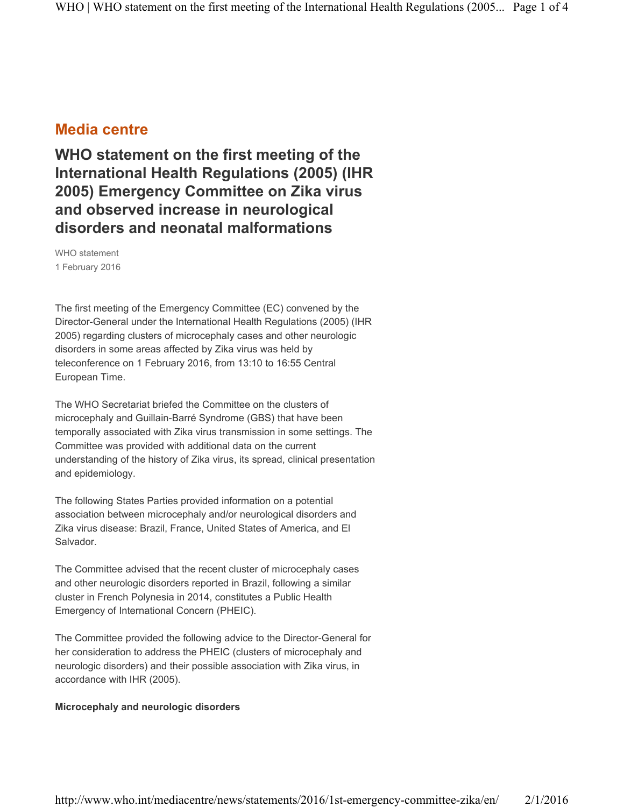# **Media centre**

**WHO statement on the first meeting of the International Health Regulations (2005) (IHR 2005) Emergency Committee on Zika virus and observed increase in neurological disorders and neonatal malformations**

WHO statement 1 February 2016

The first meeting of the Emergency Committee (EC) convened by the Director-General under the International Health Regulations (2005) (IHR 2005) regarding clusters of microcephaly cases and other neurologic disorders in some areas affected by Zika virus was held by teleconference on 1 February 2016, from 13:10 to 16:55 Central European Time.

The WHO Secretariat briefed the Committee on the clusters of microcephaly and Guillain-Barré Syndrome (GBS) that have been temporally associated with Zika virus transmission in some settings. The Committee was provided with additional data on the current understanding of the history of Zika virus, its spread, clinical presentation and epidemiology.

The following States Parties provided information on a potential association between microcephaly and/or neurological disorders and Zika virus disease: Brazil, France, United States of America, and El Salvador.

The Committee advised that the recent cluster of microcephaly cases and other neurologic disorders reported in Brazil, following a similar cluster in French Polynesia in 2014, constitutes a Public Health Emergency of International Concern (PHEIC).

The Committee provided the following advice to the Director-General for her consideration to address the PHEIC (clusters of microcephaly and neurologic disorders) and their possible association with Zika virus, in accordance with IHR (2005).

### **Microcephaly and neurologic disorders**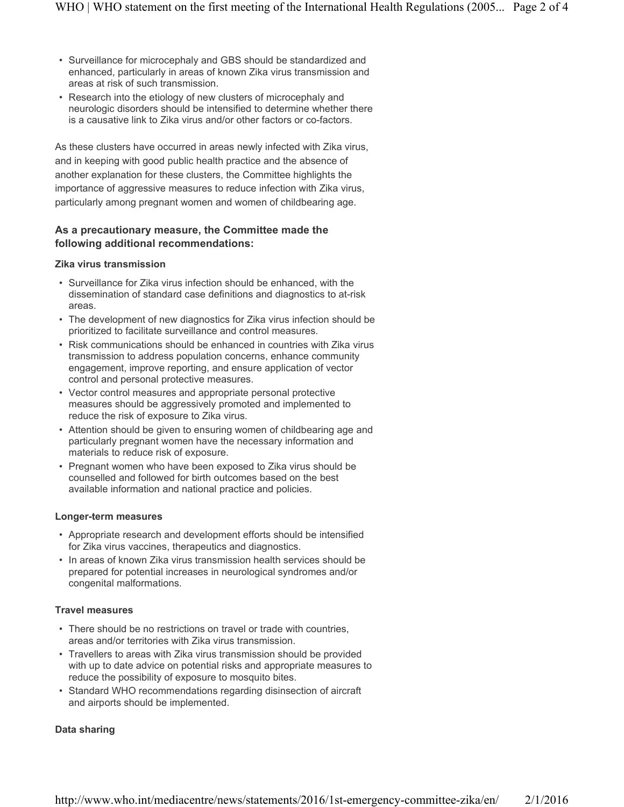- Surveillance for microcephaly and GBS should be standardized and enhanced, particularly in areas of known Zika virus transmission and areas at risk of such transmission.
- Research into the etiology of new clusters of microcephaly and neurologic disorders should be intensified to determine whether there is a causative link to Zika virus and/or other factors or co-factors.

As these clusters have occurred in areas newly infected with Zika virus, and in keeping with good public health practice and the absence of another explanation for these clusters, the Committee highlights the importance of aggressive measures to reduce infection with Zika virus, particularly among pregnant women and women of childbearing age.

## **As a precautionary measure, the Committee made the following additional recommendations:**

### **Zika virus transmission**

- Surveillance for Zika virus infection should be enhanced, with the dissemination of standard case definitions and diagnostics to at-risk areas.
- The development of new diagnostics for Zika virus infection should be prioritized to facilitate surveillance and control measures.
- Risk communications should be enhanced in countries with Zika virus transmission to address population concerns, enhance community engagement, improve reporting, and ensure application of vector control and personal protective measures.
- Vector control measures and appropriate personal protective measures should be aggressively promoted and implemented to reduce the risk of exposure to Zika virus.
- Attention should be given to ensuring women of childbearing age and particularly pregnant women have the necessary information and materials to reduce risk of exposure.
- Pregnant women who have been exposed to Zika virus should be counselled and followed for birth outcomes based on the best available information and national practice and policies.

### **Longer-term measures**

- Appropriate research and development efforts should be intensified for Zika virus vaccines, therapeutics and diagnostics.
- In areas of known Zika virus transmission health services should be prepared for potential increases in neurological syndromes and/or congenital malformations.

## **Travel measures**

- There should be no restrictions on travel or trade with countries, areas and/or territories with Zika virus transmission.
- Travellers to areas with Zika virus transmission should be provided with up to date advice on potential risks and appropriate measures to reduce the possibility of exposure to mosquito bites.
- Standard WHO recommendations regarding disinsection of aircraft and airports should be implemented.

## **Data sharing**